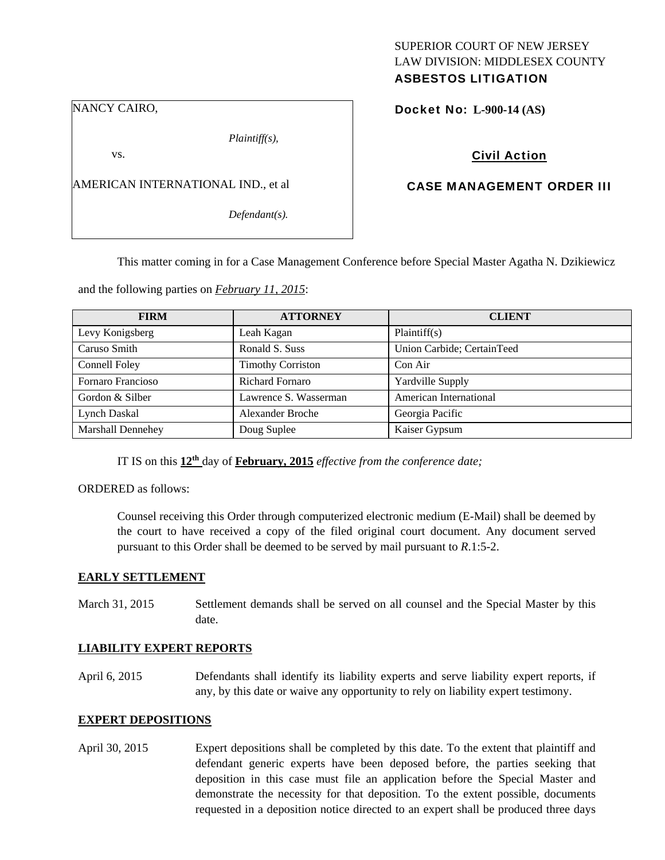### NANCY CAIRO,

*Plaintiff(s),* 

vs.

AMERICAN INTERNATIONAL IND., et al

*Defendant(s).* 

## SUPERIOR COURT OF NEW JERSEY LAW DIVISION: MIDDLESEX COUNTY ASBESTOS LITIGATION

Docket No: **L-900-14 (AS)** 

Civil Action

## CASE MANAGEMENT ORDER III

This matter coming in for a Case Management Conference before Special Master Agatha N. Dzikiewicz

and the following parties on *February 11, 2015*:

| <b>FIRM</b>              | <b>ATTORNEY</b>          | <b>CLIENT</b>              |
|--------------------------|--------------------------|----------------------------|
| Levy Konigsberg          | Leah Kagan               | Plaintiff(s)               |
| Caruso Smith             | Ronald S. Suss           | Union Carbide; CertainTeed |
| Connell Foley            | <b>Timothy Corriston</b> | Con Air                    |
| Fornaro Francioso        | <b>Richard Fornaro</b>   | Yardville Supply           |
| Gordon & Silber          | Lawrence S. Wasserman    | American International     |
| Lynch Daskal             | Alexander Broche         | Georgia Pacific            |
| <b>Marshall Dennehey</b> | Doug Suplee              | Kaiser Gypsum              |

IT IS on this **12th** day of **February, 2015** *effective from the conference date;* 

ORDERED as follows:

Counsel receiving this Order through computerized electronic medium (E-Mail) shall be deemed by the court to have received a copy of the filed original court document. Any document served pursuant to this Order shall be deemed to be served by mail pursuant to *R*.1:5-2.

#### **EARLY SETTLEMENT**

March 31, 2015 Settlement demands shall be served on all counsel and the Special Master by this date.

#### **LIABILITY EXPERT REPORTS**

April 6, 2015 Defendants shall identify its liability experts and serve liability expert reports, if any, by this date or waive any opportunity to rely on liability expert testimony.

#### **EXPERT DEPOSITIONS**

April 30, 2015 Expert depositions shall be completed by this date. To the extent that plaintiff and defendant generic experts have been deposed before, the parties seeking that deposition in this case must file an application before the Special Master and demonstrate the necessity for that deposition. To the extent possible, documents requested in a deposition notice directed to an expert shall be produced three days